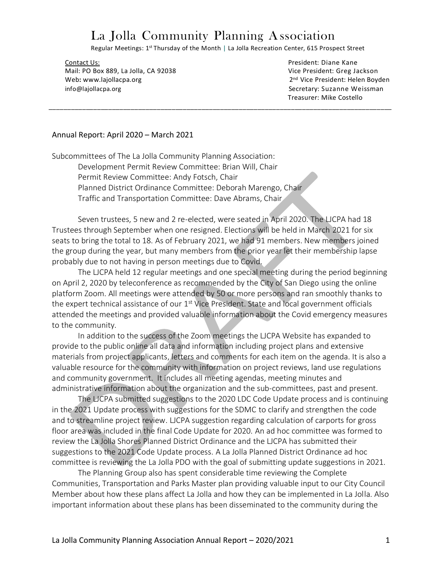# La Jolla Community Planning Association

Regular Meetings: 1<sup>st</sup> Thursday of the Month | La Jolla Recreation Center, 615 Prospect Street

\_\_\_\_\_\_\_\_\_\_\_\_\_\_\_\_\_\_\_\_\_\_\_\_\_\_\_\_\_\_\_\_\_\_\_\_\_\_\_\_\_\_\_\_\_\_\_\_\_\_\_\_\_\_\_\_\_\_\_\_\_\_\_\_\_\_\_\_\_\_\_\_\_\_\_\_\_\_\_\_\_\_\_\_\_\_\_\_\_\_\_\_

Contact Us: President: Diane Kane Mail: PO Box 889, La Jolla, CA 92038 Vice President: Greg Jackson Web**:** www.lajollacpa.org2 info@lajollacpa.org Secretary: Suzanne Weissman

2<sup>nd</sup> Vice President: Helen Boyden Treasurer: Mike Costello

#### Annual Report: April 2020 – March 2021

Subcommittees of The La Jolla Community Planning Association: Development Permit Review Committee: Brian Will, Chair Permit Review Committee: Andy Fotsch, Chair Planned District Ordinance Committee: Deborah Marengo, Chair Traffic and Transportation Committee: Dave Abrams, Chair

Seven trustees, 5 new and 2 re-elected, were seated in April 2020. The LJCPA had 18 Trustees through September when one resigned. Elections will be held in March 2021 for six seats to bring the total to 18. As of February 2021, we had 91 members. New members joined the group during the year, but many members from the prior year let their membership lapse probably due to not having in person meetings due to Covid.

The LJCPA held 12 regular meetings and one special meeting during the period beginning on April 2, 2020 by teleconference as recommended by the City of San Diego using the online platform Zoom. All meetings were attended by 50 or more persons and ran smoothly thanks to the expert technical assistance of our  $1<sup>st</sup>$  Vice President. State and local government officials attended the meetings and provided valuable information about the Covid emergency measures to the community.

In addition to the success of the Zoom meetings the LJCPA Website has expanded to provide to the public online all data and information including project plans and extensive materials from project applicants, letters and comments for each item on the agenda. It is also a valuable resource for the community with information on project reviews, land use regulations and community government. It includes all meeting agendas, meeting minutes and administrative information about the organization and the sub-committees, past and present.

The LJCPA submitted suggestions to the 2020 LDC Code Update process and is continuing in the 2021 Update process with suggestions for the SDMC to clarify and strengthen the code and to streamline project review. LJCPA suggestion regarding calculation of carports for gross floor area was included in the final Code Update for 2020. An ad hoc committee was formed to review the La Jolla Shores Planned District Ordinance and the LJCPA has submitted their suggestions to the 2021 Code Update process. A La Jolla Planned District Ordinance ad hoc committee is reviewing the La Jolla PDO with the goal of submitting update suggestions in 2021.

The Planning Group also has spent considerable time reviewing the Complete Communities, Transportation and Parks Master plan providing valuable input to our City Council Member about how these plans affect La Jolla and how they can be implemented in La Jolla. Also important information about these plans has been disseminated to the community during the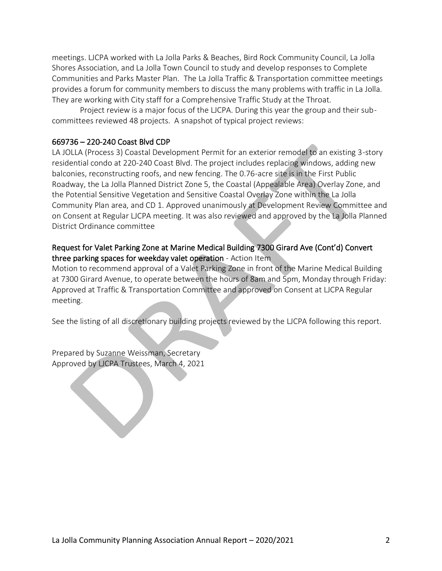meetings. LJCPA worked with La Jolla Parks & Beaches, Bird Rock Community Council, La Jolla Shores Association, and La Jolla Town Council to study and develop responses to Complete Communities and Parks Master Plan. The La Jolla Traffic & Transportation committee meetings provides a forum for community members to discuss the many problems with traffic in La Jolla. They are working with City staff for a Comprehensive Traffic Study at the Throat.

Project review is a major focus of the LJCPA. During this year the group and their subcommittees reviewed 48 projects. A snapshot of typical project reviews:

#### 669736 – 220-240 Coast Blvd CDP

LA JOLLA (Process 3) Coastal Development Permit for an exterior remodel to an existing 3-story residential condo at 220-240 Coast Blvd. The project includes replacing windows, adding new balconies, reconstructing roofs, and new fencing. The 0.76-acre site is in the First Public Roadway, the La Jolla Planned District Zone 5, the Coastal (Appealable Area) Overlay Zone, and the Potential Sensitive Vegetation and Sensitive Coastal Overlay Zone within the La Jolla Community Plan area, and CD 1. Approved unanimously at Development Review Committee and on Consent at Regular LJCPA meeting. It was also reviewed and approved by the La Jolla Planned District Ordinance committee

### Request for Valet Parking Zone at Marine Medical Building 7300 Girard Ave (Cont'd) Convert three parking spaces for weekday valet operation - Action Item

Motion to recommend approval of a Valet Parking Zone in front of the Marine Medical Building at 7300 Girard Avenue, to operate between the hours of 8am and 5pm, Monday through Friday: Approved at Traffic & Transportation Committee and approved on Consent at LJCPA Regular meeting.

See the listing of all discretionary building projects reviewed by the LJCPA following this report.

Prepared by Suzanne Weissman, Secretary Approved by LJCPA Trustees, March 4, 2021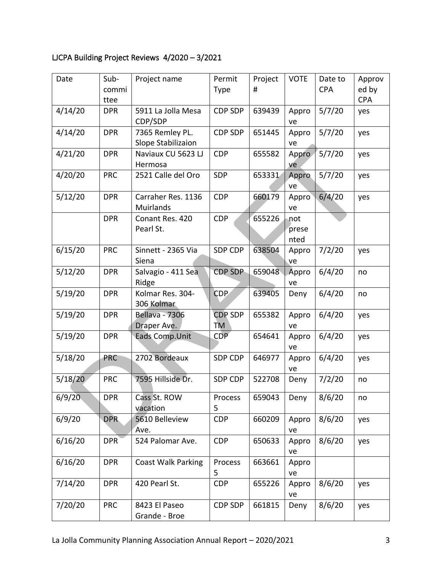## LJCPA Building Project Reviews 4/2020 – 3/2021

| Date    | Sub-       | Project name                          | Permit               | Project | <b>VOTE</b>          | Date to    | Approv     |
|---------|------------|---------------------------------------|----------------------|---------|----------------------|------------|------------|
|         | commi      |                                       | <b>Type</b>          | #       |                      | <b>CPA</b> | ed by      |
|         | ttee       |                                       |                      |         |                      |            | <b>CPA</b> |
| 4/14/20 | <b>DPR</b> | 5911 La Jolla Mesa<br>CDP/SDP         | CDP SDP              | 639439  | Appro<br>ve          | 5/7/20     | yes        |
| 4/14/20 | <b>DPR</b> | 7365 Remley PL.<br>Slope Stabilizaion | CDP SDP              | 651445  | Appro<br>ve          | 5/7/20     | yes        |
| 4/21/20 | <b>DPR</b> | Naviaux CU 5623 LJ<br>Hermosa         | <b>CDP</b>           | 655582  | Appro<br>ve          | 5/7/20     | yes        |
| 4/20/20 | <b>PRC</b> | 2521 Calle del Oro                    | SDP                  | 653331  | Appro<br>ve          | 5/7/20     | yes        |
| 5/12/20 | <b>DPR</b> | Carraher Res. 1136<br>Muirlands       | <b>CDP</b>           | 660179  | Appro<br>ve          | 6/4/20     | yes        |
|         | <b>DPR</b> | Conant Res. 420<br>Pearl St.          | <b>CDP</b>           | 655226  | not<br>prese<br>nted |            |            |
| 6/15/20 | <b>PRC</b> | Sinnett - 2365 Via<br>Siena           | <b>SDP CDP</b>       | 638504  | Appro<br>ve          | 7/2/20     | yes        |
| 5/12/20 | <b>DPR</b> | Salvagio - 411 Sea<br>Ridge           | <b>CDP SDP</b>       | 659048  | Appro<br>ve          | 6/4/20     | no         |
| 5/19/20 | <b>DPR</b> | Kolmar Res. 304-<br>306 Kolmar        | <b>CDP</b>           | 639405  | Deny                 | 6/4/20     | no         |
| 5/19/20 | <b>DPR</b> | <b>Bellava - 7306</b><br>Draper Ave.  | <b>CDP SDP</b><br>TM | 655382  | Appro<br>ve          | 6/4/20     | yes        |
| 5/19/20 | <b>DPR</b> | Eads Comp. Unit                       | <b>CDP</b>           | 654641  | Appro<br>ve          | 6/4/20     | yes        |
| 5/18/20 | <b>PRC</b> | 2702 Bordeaux                         | SDP CDP              | 646977  | Appro<br>ve          | 6/4/20     | yes        |
| 5/18/20 | <b>PRC</b> | 7595 Hillside Dr.                     | SDP CDP              | 522708  | Deny                 | 7/2/20     | no         |
| 6/9/20  | <b>DPR</b> | Cass St. ROW<br>vacation              | Process<br>5         | 659043  | Deny                 | 8/6/20     | no         |
| 6/9/20  | <b>DPR</b> | 5610 Belleview<br>Ave.                | <b>CDP</b>           | 660209  | Appro<br>ve          | 8/6/20     | yes        |
| 6/16/20 | <b>DPR</b> | 524 Palomar Ave.                      | <b>CDP</b>           | 650633  | Appro<br>ve          | 8/6/20     | yes        |
| 6/16/20 | <b>DPR</b> | <b>Coast Walk Parking</b>             | Process<br>5         | 663661  | Appro<br>ve          |            |            |
| 7/14/20 | <b>DPR</b> | 420 Pearl St.                         | <b>CDP</b>           | 655226  | Appro<br>ve          | 8/6/20     | yes        |
| 7/20/20 | <b>PRC</b> | 8423 El Paseo<br>Grande - Broe        | CDP SDP              | 661815  | Deny                 | 8/6/20     | yes        |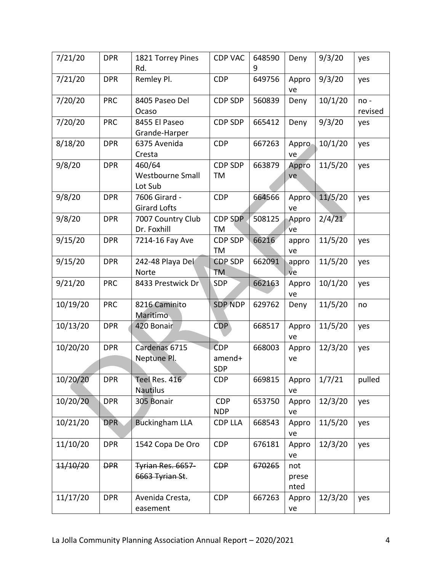| 7/21/20             | <b>DPR</b> | 1821 Torrey Pines<br>Rd.                     | <b>CDP VAC</b>              | 648590<br>9 | Deny                 | 9/3/20  | yes               |
|---------------------|------------|----------------------------------------------|-----------------------------|-------------|----------------------|---------|-------------------|
| 7/21/20             | <b>DPR</b> | Remley Pl.                                   | <b>CDP</b>                  | 649756      | Appro<br>ve          | 9/3/20  | yes               |
| 7/20/20             | <b>PRC</b> | 8405 Paseo Del<br>Ocaso                      | <b>CDP SDP</b>              | 560839      | Deny                 | 10/1/20 | $no -$<br>revised |
| 7/20/20             | <b>PRC</b> | 8455 El Paseo<br>Grande-Harper               | <b>CDP SDP</b>              | 665412      | Deny                 | 9/3/20  | yes               |
| 8/18/20             | <b>DPR</b> | 6375 Avenida<br>Cresta                       | <b>CDP</b>                  | 667263      | Appro<br>ve          | 10/1/20 | yes               |
| 9/8/20              | <b>DPR</b> | 460/64<br><b>Westbourne Small</b><br>Lot Sub | <b>CDP SDP</b><br>TM        | 663879      | Appro<br>ve          | 11/5/20 | yes               |
| 9/8/20              | <b>DPR</b> | 7606 Girard -<br><b>Girard Lofts</b>         | <b>CDP</b>                  | 664566      | Appro<br>ve          | 11/5/20 | yes               |
| 9/8/20              | <b>DPR</b> | 7007 Country Club<br>Dr. Foxhill             | <b>CDP SDP</b><br>TM        | 508125      | Appro<br>ve          | 2/4/21  |                   |
| 9/15/20             | <b>DPR</b> | 7214-16 Fay Ave                              | CDP SDP<br>TM               | 66216       | appro<br>ve          | 11/5/20 | yes               |
| 9/15/20             | <b>DPR</b> | 242-48 Playa Del<br>Norte                    | <b>CDP SDP</b><br><b>TM</b> | 662091      | appro<br>ve          | 11/5/20 | yes               |
| 9/21/20             | <b>PRC</b> | 8433 Prestwick Dr                            | <b>SDP</b>                  | 662163      | Appro<br>ve          | 10/1/20 | yes               |
| 10/19/20            | <b>PRC</b> | 8216 Caminito<br>Maritimo                    | <b>SDP NDP</b>              | 629762      | Deny                 | 11/5/20 | no                |
| 10/13/20            | <b>DPR</b> | 420 Bonair                                   | <b>CDP</b>                  | 668517      | Appro<br>ve          | 11/5/20 | yes               |
| 10/20/20            | <b>DPR</b> | Cardenas 6715<br>Neptune Pl.                 | <b>CDP</b><br>amend+<br>SDP | 668003      | Appro<br>ve          | 12/3/20 | yes               |
| 10/20/20            | <b>DPR</b> | Teel Res. 416<br><b>Nautilus</b>             | <b>CDP</b>                  | 669815      | Appro<br>ve          | 1/7/21  | pulled            |
| 10/20/20            | <b>DPR</b> | 305 Bonair                                   | <b>CDP</b><br><b>NDP</b>    | 653750      | Appro<br>ve          | 12/3/20 | yes               |
| 10/21/20            | <b>DPR</b> | <b>Buckingham LLA</b>                        | <b>CDP LLA</b>              | 668543      | Appro<br>ve          | 11/5/20 | yes               |
| 11/10/20            | <b>DPR</b> | 1542 Copa De Oro                             | <b>CDP</b>                  | 676181      | Appro<br>ve          | 12/3/20 | yes               |
| <del>11/10/20</del> | <b>DPR</b> | Tyrian Res. 6657-<br>6663 Tyrian St.         | <b>CDP</b>                  | 670265      | not<br>prese<br>nted |         |                   |
| 11/17/20            | <b>DPR</b> | Avenida Cresta,<br>easement                  | <b>CDP</b>                  | 667263      | Appro<br>ve          | 12/3/20 | yes               |